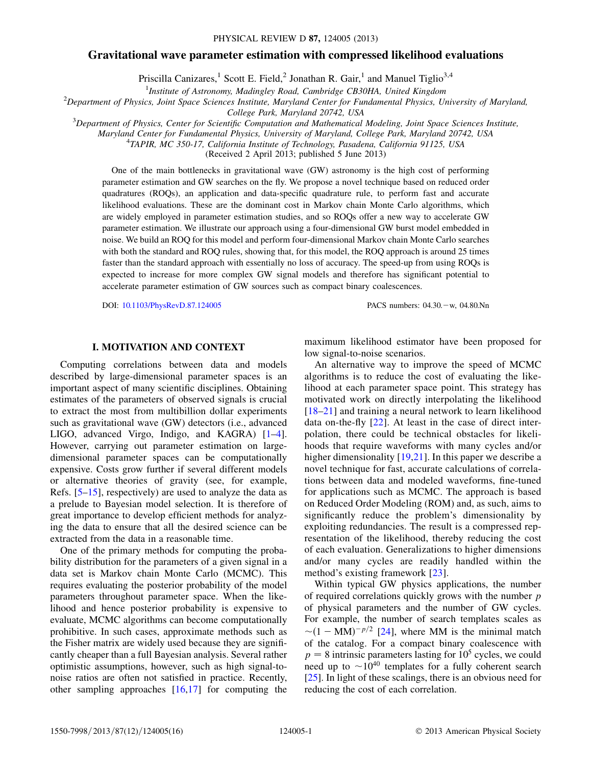# Gravitational wave parameter estimation with compressed likelihood evaluations

Priscilla Canizares,<sup>1</sup> Scott E. Field,<sup>2</sup> Jonathan R. Gair,<sup>1</sup> and Manuel Tiglio<sup>3,4</sup>

<sup>1</sup>Institute of Astronomy, Madingley Road, Cambridge CB30HA, United Kingdom

<sup>1</sup>Institute of Astronomy, Madingley Road, Cambridge CB30HA, United Kingdom<br><sup>2</sup>Department of Physics, Joint Space Sciences Institute, Maryland Center for Fundamental Physics, University of Maryland,

College Park, Maryland 20742, USA<br><sup>3</sup>Department of Physics, Center for Scientific Computation and Mathematical Modeling, Joint Space Sciences Institute,

Maryland Center for Fundamental Physics, University of Maryland, College Park, Maryland 20742, USA <sup>4</sup>

TAPIR, MC 350-17, California Institute of Technology, Pasadena, California 91125, USA

(Received 2 April 2013; published 5 June 2013)

One of the main bottlenecks in gravitational wave (GW) astronomy is the high cost of performing parameter estimation and GW searches on the fly. We propose a novel technique based on reduced order quadratures (ROQs), an application and data-specific quadrature rule, to perform fast and accurate likelihood evaluations. These are the dominant cost in Markov chain Monte Carlo algorithms, which are widely employed in parameter estimation studies, and so ROQs offer a new way to accelerate GW parameter estimation. We illustrate our approach using a four-dimensional GW burst model embedded in noise. We build an ROQ for this model and perform four-dimensional Markov chain Monte Carlo searches with both the standard and ROQ rules, showing that, for this model, the ROQ approach is around 25 times faster than the standard approach with essentially no loss of accuracy. The speed-up from using ROQs is expected to increase for more complex GW signal models and therefore has significant potential to accelerate parameter estimation of GW sources such as compact binary coalescences.

DOI: [10.1103/PhysRevD.87.124005](http://dx.doi.org/10.1103/PhysRevD.87.124005) PACS numbers: 04.30.w, 04.80.Nn

# I. MOTIVATION AND CONTEXT

Computing correlations between data and models described by large-dimensional parameter spaces is an important aspect of many scientific disciplines. Obtaining estimates of the parameters of observed signals is crucial to extract the most from multibillion dollar experiments such as gravitational wave (GW) detectors (i.e., advanced LIGO, advanced Virgo, Indigo, and KAGRA) [\[1](#page-14-0)–[4\]](#page-14-1). However, carrying out parameter estimation on largedimensional parameter spaces can be computationally expensive. Costs grow further if several different models or alternative theories of gravity (see, for example, Refs. [\[5](#page-14-2)–[15](#page-15-0)], respectively) are used to analyze the data as a prelude to Bayesian model selection. It is therefore of great importance to develop efficient methods for analyzing the data to ensure that all the desired science can be extracted from the data in a reasonable time.

One of the primary methods for computing the probability distribution for the parameters of a given signal in a data set is Markov chain Monte Carlo (MCMC). This requires evaluating the posterior probability of the model parameters throughout parameter space. When the likelihood and hence posterior probability is expensive to evaluate, MCMC algorithms can become computationally prohibitive. In such cases, approximate methods such as the Fisher matrix are widely used because they are significantly cheaper than a full Bayesian analysis. Several rather optimistic assumptions, however, such as high signal-tonoise ratios are often not satisfied in practice. Recently, other sampling approaches [\[16](#page-15-1)[,17\]](#page-15-2) for computing the

maximum likelihood estimator have been proposed for low signal-to-noise scenarios.

An alternative way to improve the speed of MCMC algorithms is to reduce the cost of evaluating the likelihood at each parameter space point. This strategy has motivated work on directly interpolating the likelihood [[18](#page-15-3)–[21](#page-15-4)] and training a neural network to learn likelihood data on-the-fly [\[22\]](#page-15-5). At least in the case of direct interpolation, there could be technical obstacles for likelihoods that require waveforms with many cycles and/or higher dimensionality [\[19](#page-15-6),[21\]](#page-15-4). In this paper we describe a novel technique for fast, accurate calculations of correlations between data and modeled waveforms, fine-tuned for applications such as MCMC. The approach is based on Reduced Order Modeling (ROM) and, as such, aims to significantly reduce the problem's dimensionality by exploiting redundancies. The result is a compressed representation of the likelihood, thereby reducing the cost of each evaluation. Generalizations to higher dimensions and/or many cycles are readily handled within the method's existing framework [[23](#page-15-7)].

Within typical GW physics applications, the number of required correlations quickly grows with the number  $p$ of physical parameters and the number of GW cycles. For example, the number of search templates scales as  $\sim (1 - MM)^{-p/2}$  [24], where MM is the minimal match of the catalog. For a compact binary coalescence with  $\sim (1 - MM)^{-p/2}$  [[24](#page-15-8)], where MM is the minimal match  $p = 8$  intrinsic parameters lasting for 10<sup>5</sup> cycles, we could need up to  $\sim 10^{40}$  templates for a fully coherent search  $\frac{1251}{1251}$  In light of these scalings there is an obvious need for [\[25\]](#page-15-9). In light of these scalings, there is an obvious need for reducing the cost of each correlation.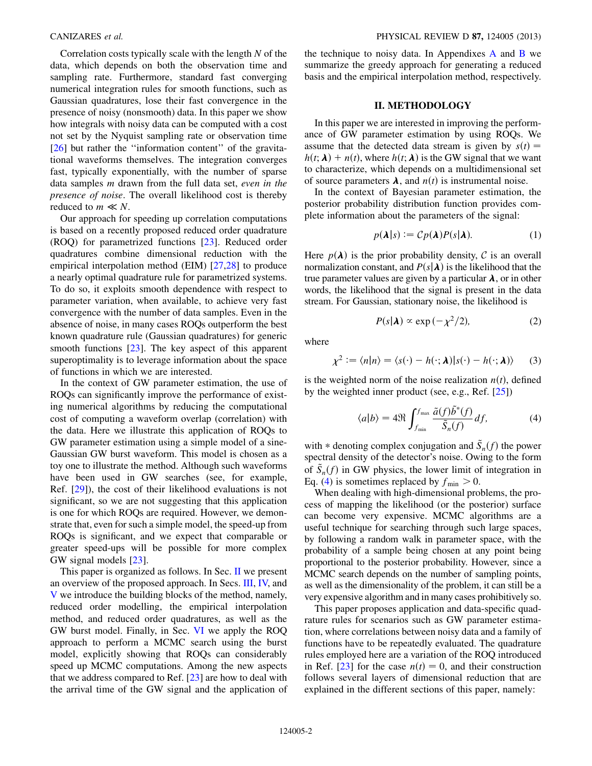Correlation costs typically scale with the length  $N$  of the data, which depends on both the observation time and sampling rate. Furthermore, standard fast converging numerical integration rules for smooth functions, such as Gaussian quadratures, lose their fast convergence in the presence of noisy (nonsmooth) data. In this paper we show how integrals with noisy data can be computed with a cost not set by the Nyquist sampling rate or observation time [\[26\]](#page-15-10) but rather the "information content" of the gravitational waveforms themselves. The integration converges fast, typically exponentially, with the number of sparse data samples m drawn from the full data set, even in the presence of noise. The overall likelihood cost is thereby reduced to  $m \ll N$ .

Our approach for speeding up correlation computations is based on a recently proposed reduced order quadrature (ROQ) for parametrized functions [\[23\]](#page-15-7). Reduced order quadratures combine dimensional reduction with the empirical interpolation method (EIM) [[27](#page-15-11),[28](#page-15-12)] to produce a nearly optimal quadrature rule for parametrized systems. To do so, it exploits smooth dependence with respect to parameter variation, when available, to achieve very fast convergence with the number of data samples. Even in the absence of noise, in many cases ROQs outperform the best known quadrature rule (Gaussian quadratures) for generic smooth functions [[23](#page-15-7)]. The key aspect of this apparent superoptimality is to leverage information about the space of functions in which we are interested.

In the context of GW parameter estimation, the use of ROQs can significantly improve the performance of existing numerical algorithms by reducing the computational cost of computing a waveform overlap (correlation) with the data. Here we illustrate this application of ROQs to GW parameter estimation using a simple model of a sine-Gaussian GW burst waveform. This model is chosen as a toy one to illustrate the method. Although such waveforms have been used in GW searches (see, for example, Ref. [\[29\]](#page-15-13)), the cost of their likelihood evaluations is not significant, so we are not suggesting that this application is one for which ROQs are required. However, we demonstrate that, even for such a simple model, the speed-up from ROQs is significant, and we expect that comparable or greater speed-ups will be possible for more complex GW signal models [\[23\]](#page-15-7).

This paper is organized as follows. In Sec. [II](#page-1-0) we present an overview of the proposed approach. In Secs. [III](#page-2-0), [IV,](#page-4-0) and [V](#page-6-0) we introduce the building blocks of the method, namely, reduced order modelling, the empirical interpolation method, and reduced order quadratures, as well as the GW burst model. Finally, in Sec. [VI](#page-9-0) we apply the ROQ approach to perform a MCMC search using the burst model, explicitly showing that ROQs can considerably speed up MCMC computations. Among the new aspects that we address compared to Ref. [\[23\]](#page-15-7) are how to deal with the arrival time of the GW signal and the application of the technique to noisy data. In [A](#page-13-0)ppendixes  $\overline{A}$  and  $\overline{B}$  $\overline{B}$  $\overline{B}$  we summarize the greedy approach for generating a reduced basis and the empirical interpolation method, respectively.

## II. METHODOLOGY

<span id="page-1-0"></span>In this paper we are interested in improving the performance of GW parameter estimation by using ROQs. We assume that the detected data stream is given by  $s(t) =$  $h(t; \lambda) + n(t)$ , where  $h(t; \lambda)$  is the GW signal that we want to characterize, which depends on a multidimensional set of source parameters  $\lambda$ , and  $n(t)$  is instrumental noise.

<span id="page-1-3"></span>In the context of Bayesian parameter estimation, the posterior probability distribution function provides complete information about the parameters of the signal:

$$
p(\boldsymbol{\lambda}|s) := Cp(\boldsymbol{\lambda})P(s|\boldsymbol{\lambda}).
$$
 (1)

Here  $p(\lambda)$  is the prior probability density, C is an overall normalization constant, and  $P(s|\lambda)$  is the likelihood that the true parameter values are given by a particular  $\lambda$ , or in other words, the likelihood that the signal is present in the data stream. For Gaussian, stationary noise, the likelihood is

$$
P(s|\lambda) \propto \exp\left(-\chi^2/2\right),\tag{2}
$$

<span id="page-1-2"></span>where

$$
\chi^2 := \langle n | n \rangle = \langle s(\cdot) - h(\cdot; \boldsymbol{\lambda}) | s(\cdot) - h(\cdot; \boldsymbol{\lambda}) \rangle \tag{3}
$$

<span id="page-1-1"></span>is the weighted norm of the noise realization  $n(t)$ , defined by the weighted inner product (see, e.g., Ref. [[25](#page-15-9)])

$$
\langle a|b\rangle = 4\Re \int_{f_{\min}}^{f_{\max}} \frac{\tilde{a}(f)\tilde{b}^*(f)}{\tilde{S}_n(f)} df, \tag{4}
$$

with  $*$  denoting complex conjugation and  $\tilde{S}_n(f)$  the power spectral density of the detector's noise. Owing to the form of  $\tilde{S}_n(f)$  in GW physics, the lower limit of integration in<br>Eq. (4) is sometimes replaced by  $f \to 0$ Eq. ([4\)](#page-1-1) is sometimes replaced by  $f_{\text{min}} > 0$ .

When dealing with high-dimensional problems, the process of mapping the likelihood (or the posterior) surface can become very expensive. MCMC algorithms are a useful technique for searching through such large spaces, by following a random walk in parameter space, with the probability of a sample being chosen at any point being proportional to the posterior probability. However, since a MCMC search depends on the number of sampling points, as well as the dimensionality of the problem, it can still be a very expensive algorithm and in many cases prohibitively so.

This paper proposes application and data-specific quadrature rules for scenarios such as GW parameter estimation, where correlations between noisy data and a family of functions have to be repeatedly evaluated. The quadrature rules employed here are a variation of the ROQ introduced in Ref. [[23](#page-15-7)] for the case  $n(t) = 0$ , and their construction follows several layers of dimensional reduction that are explained in the different sections of this paper, namely: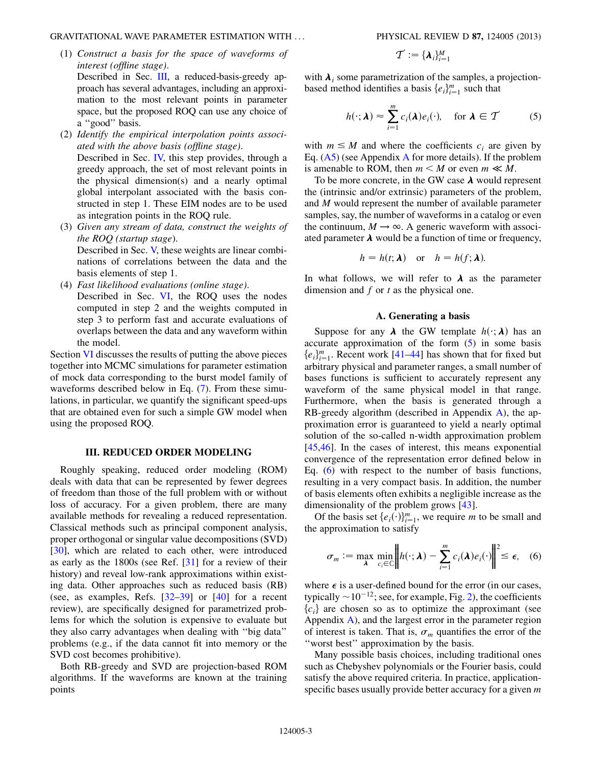- (1) Construct a basis for the space of waveforms of interest (offline stage). Described in Sec.  $III$ , a reduced-basis-greedy approach has several advantages, including an approximation to the most relevant points in parameter space, but the proposed ROQ can use any choice of
- a ''good'' basis. (2) Identify the empirical interpolation points associated with the above basis (offline stage). Described in Sec. [IV,](#page-4-0) this step provides, through a greedy approach, the set of most relevant points in the physical dimension(s) and a nearly optimal global interpolant associated with the basis constructed in step 1. These EIM nodes are to be used as integration points in the ROQ rule.
- (3) Given any stream of data, construct the weights of the ROQ (startup stage). Described in Sec. [V,](#page-6-0) these weights are linear combinations of correlations between the data and the basis elements of step 1. (4) Fast likelihood evaluations (online stage).
- Described in Sec. [VI](#page-9-0), the ROQ uses the nodes computed in step 2 and the weights computed in step 3 to perform fast and accurate evaluations of overlaps between the data and any waveform within the model.

Section [VI](#page-9-0) discusses the results of putting the above pieces together into MCMC simulations for parameter estimation of mock data corresponding to the burst model family of waveforms described below in Eq. [\(7](#page-3-0)). From these simulations, in particular, we quantify the significant speed-ups that are obtained even for such a simple GW model when using the proposed ROQ.

## III. REDUCED ORDER MODELING

Roughly speaking, reduced order modeling (ROM) deals with data that can be represented by fewer degrees of freedom than those of the full problem with or without loss of accuracy. For a given problem, there are many available methods for revealing a reduced representation. Classical methods such as principal component analysis, proper orthogonal or singular value decompositions (SVD) [\[30\]](#page-15-14), which are related to each other, were introduced as early as the 1800s (see Ref. [[31](#page-15-15)] for a review of their history) and reveal low-rank approximations within existing data. Other approaches such as reduced basis (RB) (see, as examples, Refs. [\[32–](#page-15-16)[39](#page-15-17)] or [\[40\]](#page-15-18) for a recent review), are specifically designed for parametrized problems for which the solution is expensive to evaluate but they also carry advantages when dealing with ''big data'' problems (e.g., if the data cannot fit into memory or the SVD cost becomes prohibitive).

Both RB-greedy and SVD are projection-based ROM algorithms. If the waveforms are known at the training points

$$
\mathcal{T} := \{\boldsymbol{\lambda}_i\}_{i=1}^M
$$

<span id="page-2-1"></span><span id="page-2-0"></span>with  $\lambda_i$  some parametrization of the samples, a projectionbased method identifies a basis  $\{e_i\}_{i=1}^m$  such that

$$
h(\cdot; \boldsymbol{\lambda}) \approx \sum_{i=1}^{m} c_i(\boldsymbol{\lambda}) e_i(\cdot), \quad \text{for } \boldsymbol{\lambda} \in \mathcal{T} \tag{5}
$$

with  $m \leq M$  and where the coefficients  $c_i$  are given by Eq.  $(A5)$  (see [A](#page-13-0)ppendix A for more details). If the problem is amenable to ROM, then  $m < M$  or even  $m \ll M$ .

To be more concrete, in the GW case  $\lambda$  would represent the (intrinsic and/or extrinsic) parameters of the problem, and M would represent the number of available parameter samples, say, the number of waveforms in a catalog or even the continuum,  $M \rightarrow \infty$ . A generic waveform with associated parameter  $\lambda$  would be a function of time or frequency,

$$
h = h(t; \lambda) \quad \text{or} \quad h = h(f; \lambda).
$$

In what follows, we will refer to  $\lambda$  as the parameter dimension and  $f$  or  $t$  as the physical one.

## A. Generating a basis

Suppose for any  $\lambda$  the GW template  $h(\cdot;\lambda)$  has an accurate approximation of the form  $(5)$  $(5)$  $(5)$  in some basis  ${e_i}_{i=1}^m$ . Recent work [[41](#page-15-19)[–44\]](#page-15-20) has shown that for fixed but<br>arbitrary physical and parameter ranges a small number of arbitrary physical and parameter ranges, a small number of bases functions is sufficient to accurately represent any waveform of the same physical model in that range. Furthermore, when the basis is generated through a RB-greedy algorithm (described in Appendix [A](#page-13-0)), the approximation error is guaranteed to yield a nearly optimal solution of the so-called n-width approximation problem [\[45](#page-15-21)[,46\]](#page-15-22). In the cases of interest, this means exponential convergence of the representation error defined below in Eq. ([6](#page-2-2)) with respect to the number of basis functions, resulting in a very compact basis. In addition, the number of basis elements often exhibits a negligible increase as the dimensionality of the problem grows [[43](#page-15-23)].

<span id="page-2-2"></span>Of the basis set  $\{e_i(\cdot)\}_{i=1}^m$ , we require *m* to be small and the approximation to satisfy

$$
\sigma_m := \max_{\lambda} \min_{c_i \in \mathbb{C}} \left\| h(\cdot; \lambda) - \sum_{i=1}^m c_i(\lambda) e_i(\cdot) \right\|^2 \le \epsilon, \quad (6)
$$

where  $\epsilon$  is a user-defined bound for the error (in our cases, typically  $\sim 10^{-12}$ ; see, for example, Fig. [2\)](#page-3-1), the coefficients  $\{c_1\}$  are chosen so as to optimize the approximant (see  ${c_i}$  are chosen so as to optimize the approximant (see [A](#page-13-0)ppendix  $\overline{A}$ ), and the largest error in the parameter region of interest is taken. That is,  $\sigma_m$  quantifies the error of the ''worst best'' approximation by the basis.

Many possible basis choices, including traditional ones such as Chebyshev polynomials or the Fourier basis, could satisfy the above required criteria. In practice, applicationspecific bases usually provide better accuracy for a given  $m$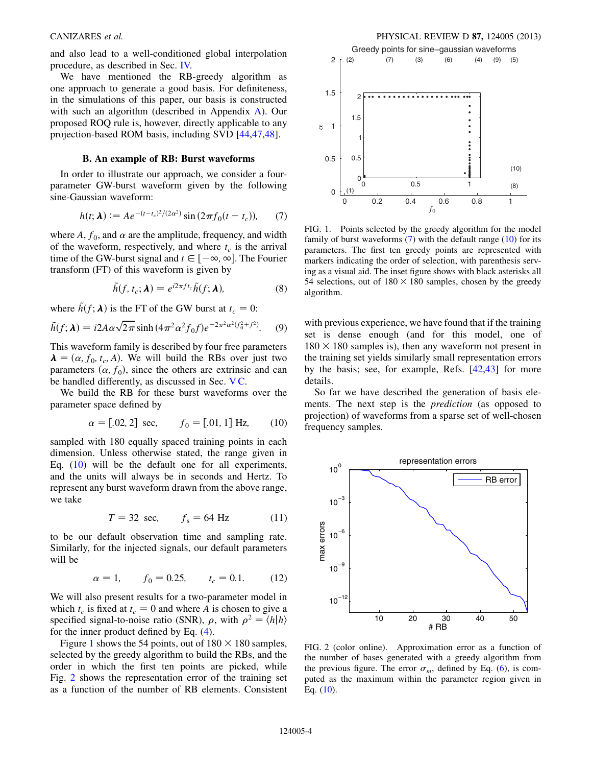and also lead to a well-conditioned global interpolation procedure, as described in Sec. [IV.](#page-4-0)

We have mentioned the RB-greedy algorithm as one approach to generate a good basis. For definiteness, in the simulations of this paper, our basis is constructed with such an algorithm (described in Appendix [A](#page-13-0)). Our proposed ROQ rule is, however, directly applicable to any projection-based ROM basis, including SVD [[44](#page-15-20),[47](#page-15-24),[48](#page-15-25)].

## B. An example of RB: Burst waveforms

<span id="page-3-5"></span><span id="page-3-0"></span>In order to illustrate our approach, we consider a fourparameter GW-burst waveform given by the following sine-Gaussian waveform:

$$
h(t; \lambda) := A e^{-(t - t_c)^2/(2\alpha^2)} \sin(2\pi f_0(t - t_c)), \qquad (7)
$$

where  $A, f_0$ , and  $\alpha$  are the amplitude, frequency, and width of the waveform, respectively, and where  $t_c$  is the arrival time of the GW-burst signal and  $t \in [-\infty, \infty]$ . The Fourier transform (FT) of this waveform is given by

$$
\tilde{h}(f, t_c; \lambda) = e^{i2\pi ft_c} \tilde{h}(f; \lambda), \qquad (8)
$$

<span id="page-3-7"></span><span id="page-3-4"></span>where  $\tilde{h}(f; \lambda)$  is the FT of the GW burst at  $t_c = 0$ :

$$
\tilde{h}(f; \lambda) = i2A\alpha\sqrt{2\pi} \sinh\left(4\pi^2\alpha^2 f_0 f\right) e^{-2\pi^2\alpha^2 \left(f_0^2 + f^2\right)}. \tag{9}
$$

This waveform family is described by four free parameters  $\lambda = (\alpha, f_0, t_c, A)$ . We will build the RBs over just two parameters  $(\alpha, f_0)$ , since the others are extrinsic and can be handled differently, as discussed in Sec. VC.

<span id="page-3-2"></span>We build the RB for these burst waveforms over the parameter space defined by

$$
\alpha = [0.02, 2]
$$
 sec,  $f_0 = [0.01, 1]$  Hz, (10)

sampled with 180 equally spaced training points in each dimension. Unless otherwise stated, the range given in Eq.  $(10)$  $(10)$  $(10)$  will be the default one for all experiments, and the units will always be in seconds and Hertz. To represent any burst waveform drawn from the above range, we take

$$
T = 32 \text{ sec}, \qquad f_s = 64 \text{ Hz}
$$
 (11)

<span id="page-3-6"></span>to be our default observation time and sampling rate. Similarly, for the injected signals, our default parameters will be

$$
\alpha = 1,
$$
\n $f_0 = 0.25,$ \n $t_c = 0.1.$ \n(12)

We will also present results for a two-parameter model in which  $t_c$  is fixed at  $t_c = 0$  and where A is chosen to give a specified signal-to-noise ratio (SNR),  $\rho$ , with  $\rho^2 = \langle h|h \rangle$ for the inner product defined by Eq. ([4](#page-1-1)).

Figure [1](#page-3-3) shows the 54 points, out of  $180 \times 180$  samples, selected by the greedy algorithm to build the RBs, and the order in which the first ten points are picked, while Fig. [2](#page-3-1) shows the representation error of the training set as a function of the number of RB elements. Consistent

<span id="page-3-3"></span>

FIG. 1. Points selected by the greedy algorithm for the model family of burst waveforms  $(7)$  with the default range  $(10)$  for its parameters. The first ten greedy points are represented with markers indicating the order of selection, with parenthesis serving as a visual aid. The inset figure shows with black asterisks all 54 selections, out of  $180 \times 180$  samples, chosen by the greedy algorithm.

with previous experience, we have found that if the training set is dense enough (and for this model, one of  $180 \times 180$  samples is), then any waveform not present in the training set yields similarly small representation errors by the basis; see, for example, Refs. [\[42,](#page-15-26)[43\]](#page-15-23) for more details.

So far we have described the generation of basis elements. The next step is the prediction (as opposed to projection) of waveforms from a sparse set of well-chosen frequency samples.

<span id="page-3-1"></span>

FIG. 2 (color online). Approximation error as a function of the number of bases generated with a greedy algorithm from the previous figure. The error  $\sigma_m$ , defined by Eq. ([6\)](#page-2-2), is computed as the maximum within the parameter region given in Eq. [\(10\)](#page-3-2).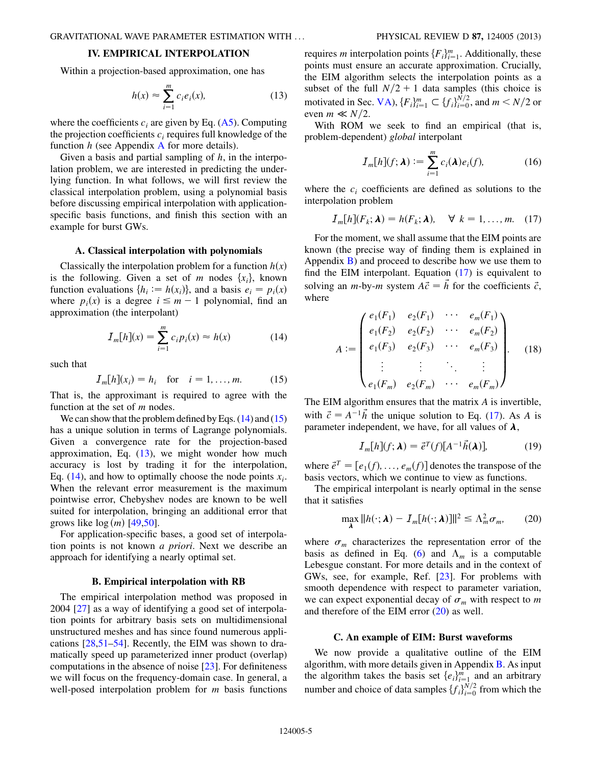## IV. EMPIRICAL INTERPOLATION

<span id="page-4-3"></span><span id="page-4-0"></span>Within a projection-based approximation, one has

$$
h(x) \approx \sum_{i=1}^{m} c_i e_i(x), \qquad (13)
$$

where the coefficients  $c_i$  are given by Eq. ([A5\)](#page-13-2). Computing the projection coefficients  $c_i$  requires full knowledge of the function  $h$  (see [A](#page-13-0)ppendix A for more details).

Given a basis and partial sampling of  $h$ , in the interpolation problem, we are interested in predicting the underlying function. In what follows, we will first review the classical interpolation problem, using a polynomial basis before discussing empirical interpolation with applicationspecific basis functions, and finish this section with an example for burst GWs.

## A. Classical interpolation with polynomials

<span id="page-4-8"></span>Classically the interpolation problem for a function  $h(x)$ is the following. Given a set of m nodes  $\{x_i\}$ , known function evaluations  $\{h_i := h(x_i)\}\$ , and a basis  $e_i = p_i(x)$ where  $p_i(x)$  is a degree  $i \leq m - 1$  polynomial, find an approximation (the interpolant)

$$
I_m[h](x) = \sum_{i=1}^{m} c_i p_i(x) \approx h(x)
$$
 (14)

<span id="page-4-2"></span><span id="page-4-1"></span>such that

$$
I_m[h](x_i) = h_i \quad \text{for} \quad i = 1, \dots, m. \tag{15}
$$

That is, the approximant is required to agree with the function at the set of  *nodes.* 

We can show that the problem defined by Eqs.  $(14)$  $(14)$  and  $(15)$ has a unique solution in terms of Lagrange polynomials. Given a convergence rate for the projection-based approximation, Eq. [\(13\)](#page-4-3), we might wonder how much accuracy is lost by trading it for the interpolation, Eq. ([14](#page-4-1)), and how to optimally choose the node points  $x_i$ . When the relevant error measurement is the maximum pointwise error, Chebyshev nodes are known to be well suited for interpolation, bringing an additional error that grows like  $log(m)$  [[49](#page-15-27),[50](#page-15-28)].

For application-specific bases, a good set of interpolation points is not known a priori. Next we describe an approach for identifying a nearly optimal set.

#### B. Empirical interpolation with RB

The empirical interpolation method was proposed in 2004 [\[27\]](#page-15-11) as a way of identifying a good set of interpolation points for arbitrary basis sets on multidimensional unstructured meshes and has since found numerous applications [[28,](#page-15-12)[51](#page-15-29)[–54\]](#page-15-30). Recently, the EIM was shown to dramatically speed up parameterized inner product (overlap) computations in the absence of noise [[23](#page-15-7)]. For definiteness we will focus on the frequency-domain case. In general, a well-posed interpolation problem for  $m$  basis functions

requires *m* interpolation points  ${F_i}_{i=1}^m$ . Additionally, these<br>points must ensure an accurate approximation. Crucially points must ensure an accurate approximation. Crucially, the EIM algorithm selects the interpolation points as a subset of the full  $N/2 + 1$  data samples (this choice is<br>motivated in See  $N_A$ ) [F  $\lim_{n \to \infty} C_1 f_1 N/2$  and  $m \leq N/2$  on motivated in Sec. [VA](#page-6-1)),  ${F_i}_{i=1}^m \subset {f_i}_{i=0}^{N/2}$ , and  $m \le N/2$  or even  $m \ll N/2$ .

<span id="page-4-6"></span>With ROM we seek to find an empirical (that is, problem-dependent) global interpolant

$$
I_m[h](f; \lambda) := \sum_{i=1}^m c_i(\lambda) e_i(f), \qquad (16)
$$

<span id="page-4-4"></span>where the  $c_i$  coefficients are defined as solutions to the interpolation problem

$$
I_m[h](F_k; \lambda) = h(F_k; \lambda), \quad \forall \ k = 1, ..., m. \quad (17)
$$

For the moment, we shall assume that the EIM points are known (the precise way of finding them is explained in Appendix  $\bf{B}$  $\bf{B}$  $\bf{B}$ ) and proceed to describe how we use them to find the EIM interpolant. Equation  $(17)$  $(17)$  $(17)$  is equivalent to solving an *m*-by-*m* system  $A\vec{c} = \vec{h}$  for the coefficients  $\vec{c}$ , where

<span id="page-4-9"></span>
$$
A := \begin{pmatrix} e_1(F_1) & e_2(F_1) & \cdots & e_m(F_1) \\ e_1(F_2) & e_2(F_2) & \cdots & e_m(F_2) \\ e_1(F_3) & e_2(F_3) & \cdots & e_m(F_3) \\ \vdots & \vdots & \ddots & \vdots \\ e_1(F_m) & e_2(F_m) & \cdots & e_m(F_m) \end{pmatrix}.
$$
 (18)

<span id="page-4-7"></span>The EIM algorithm ensures that the matrix A is invertible, with  $\vec{c} = A^{-1} \vec{h}$  the unique solution to Eq. ([17](#page-4-4)). As A is parameter independent, we have, for all values of  $\lambda$ ,

$$
I_m[h](f; \lambda) = \vec{e}^T(f)[A^{-1}\vec{h}(\lambda)], \qquad (19)
$$

where  $\vec{e}^T = [e_1(f), \ldots, e_m(f)]$  denotes the transpose of the basis vectors, which we continue to view as functions.

<span id="page-4-5"></span>The empirical interpolant is nearly optimal in the sense that it satisfies

$$
\max_{\lambda} ||h(\cdot; \lambda) - I_m[h(\cdot; \lambda)]||^2 \leq \Lambda_m^2 \sigma_m, \qquad (20)
$$

where  $\sigma_m$  characterizes the representation error of the basis as defined in Eq. [\(6\)](#page-2-2) and  $\Lambda_m$  is a computable Lebesgue constant. For more details and in the context of GWs, see, for example, Ref. [[23](#page-15-7)]. For problems with smooth dependence with respect to parameter variation, we can expect exponential decay of  $\sigma_m$  with respect to m and therefore of the EIM error  $(20)$  $(20)$  $(20)$  as well.

### C. An example of EIM: Burst waveforms

We now provide a qualitative outline of the EIM algorithm, with more details given in Appendix [B](#page-13-1). As input the algorithm takes the basis set  $\{e_i\}_{i=1}^m$  and an arbitrary number and choice of data samples  $\{f_i\}_{i=0}^{N/2}$  from which the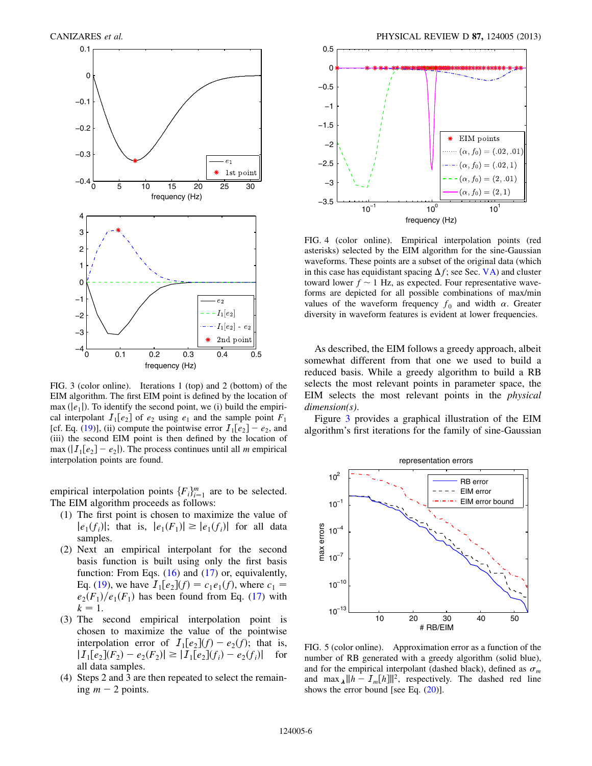<span id="page-5-0"></span>

FIG. 3 (color online). Iterations 1 (top) and 2 (bottom) of the EIM algorithm. The first EIM point is defined by the location of max  $\left(\left|e_{1}\right|\right)$ . To identify the second point, we (i) build the empirical interpolant  $I_1[e_2]$  of  $e_2$  using  $e_1$  and the sample point  $F_1$ [cf. Eq. ([19](#page-4-7))], (ii) compute the pointwise error  $I_1[e_2] - e_2$ , and (iii) the second EIM point is then defined by the location of max  $(|I_1[e_2] - e_2|)$ . The process continues until all m empirical interpolation points are found.

empirical interpolation points  ${F_i}_{i=1}^m$  are to be selected.<br>The FIM algorithm proceeds as follows: The EIM algorithm proceeds as follows:

- (1) The first point is chosen to maximize the value of  $|e_1(f_i)|$ ; that is,  $|e_1(F_1)| \geq |e_1(f_i)|$  for all data samples.
- (2) Next an empirical interpolant for the second basis function is built using only the first basis function: From Eqs.  $(16)$  and  $(17)$  $(17)$  $(17)$  or, equivalently, Eq. [\(19\)](#page-4-7), we have  $I_1[e_2](f) = c_1e_1(f)$ , where  $c_1 =$  $e_2(F_1)/e_1(F_1)$  has been found from Eq. [\(17\)](#page-4-4) with  $k = 1$ .
- (3) The second empirical interpolation point is chosen to maximize the value of the pointwise interpolation error of  $I_1[e_2](f) - e_2(f)$ ; that is,  $|I_1[e_2](F_2) - e_2(F_2)| \ge |I_1[e_2](f_i) - e_2(f_i)|$  for all data samples.
- (4) Steps 2 and 3 are then repeated to select the remaining  $m - 2$  points.

<span id="page-5-1"></span>

FIG. 4 (color online). Empirical interpolation points (red asterisks) selected by the EIM algorithm for the sine-Gaussian waveforms. These points are a subset of the original data (which in this case has equidistant spacing  $\Delta f$ ; see Sec. [VA](#page-6-1)) and cluster toward lower  $f \sim 1$  Hz, as expected. Four representative wave-<br>forms are depicted for all possible combinations of max/min forms are depicted for all possible combinations of max/min values of the waveform frequency  $f_0$  and width  $\alpha$ . Greater diversity in waveform features is evident at lower frequencies.

As described, the EIM follows a greedy approach, albeit somewhat different from that one we used to build a reduced basis. While a greedy algorithm to build a RB selects the most relevant points in parameter space, the EIM selects the most relevant points in the physical dimension(s).

Figure [3](#page-5-0) provides a graphical illustration of the EIM algorithm's first iterations for the family of sine-Gaussian

<span id="page-5-2"></span>

FIG. 5 (color online). Approximation error as a function of the number of RB generated with a greedy algorithm (solid blue), and for the empirical interpolant (dashed black), defined as  $\sigma_m$ and max  $\lambda \|h - I_m[h]\|^2$ , respectively. The dashed red line shows the error bound [see Eq.  $(20)$  $(20)$  $(20)$ ].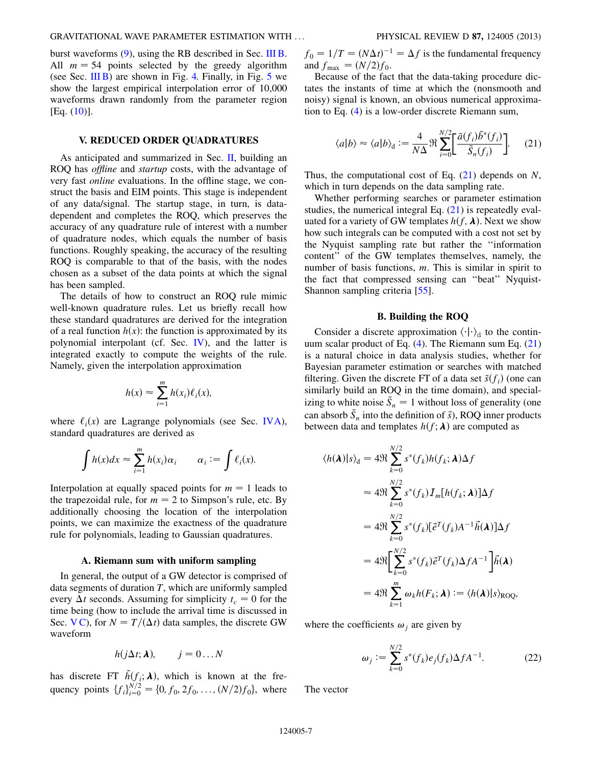burst waveforms [\(9\)](#page-3-4), using the RB described in Sec. [III B](#page-3-5). All  $m = 54$  points selected by the greedy algorithm (see Sec. [III B\)](#page-3-5) are shown in Fig. [4.](#page-5-1) Finally, in Fig.  $5$  we show the largest empirical interpolation error of 10,000 waveforms drawn randomly from the parameter region [Eq. [\(10\)](#page-3-2)].

### V. REDUCED ORDER QUADRATURES

As anticipated and summarized in Sec.  $II$ , building an ROQ has *offline* and *startup* costs, with the advantage of very fast online evaluations. In the offline stage, we construct the basis and EIM points. This stage is independent of any data/signal. The startup stage, in turn, is datadependent and completes the ROQ, which preserves the accuracy of any quadrature rule of interest with a number of quadrature nodes, which equals the number of basis functions. Roughly speaking, the accuracy of the resulting ROQ is comparable to that of the basis, with the nodes chosen as a subset of the data points at which the signal has been sampled.

The details of how to construct an ROQ rule mimic well-known quadrature rules. Let us briefly recall how these standard quadratures are derived for the integration of a real function  $h(x)$ : the function is approximated by its polynomial interpolant (cf. Sec. [IV](#page-4-0)), and the latter is integrated exactly to compute the weights of the rule. Namely, given the interpolation approximation

$$
h(x) \approx \sum_{i=1}^{m} h(x_i) \ell_i(x),
$$

<span id="page-6-0"></span>where  $\ell_i(x)$  are Lagrange polynomials (see Sec. [IVA\)](#page-4-8), standard quadratures are derived as

$$
\int h(x)dx \approx \sum_{i=1}^m h(x_i)\alpha_i \qquad \alpha_i := \int \ell_i(x).
$$

Interpolation at equally spaced points for  $m = 1$  leads to the trapezoidal rule, for  $m = 2$  to Simpson's rule, etc. By additionally choosing the location of the interpolation points, we can maximize the exactness of the quadrature rule for polynomials, leading to Gaussian quadratures.

#### A. Riemann sum with uniform sampling

<span id="page-6-1"></span>In general, the output of a GW detector is comprised of data segments of duration  $T$ , which are uniformly sampled every  $\tilde{\Delta}t$  seconds. Assuming for simplicity  $t_c = 0$  for the time being (how to include the arrival time is discussed in time being (how to include the arrival time is discussed in Sec. [V C\)](#page-8-0), for  $N = T/(\Delta t)$  data samples, the discrete GW waveform waveform

$$
h(j\Delta t; \boldsymbol{\lambda}), \qquad j=0...N
$$

has discrete FT  $\tilde{h}(f_i; \lambda)$ , which is known at the frequency points  $\{f_i\}_{i=0}^{N/2} = \{0, f_0, 2f_0, \ldots, (N/2)f_0\}$ , where

 $f_0 = 1/T = (N\Delta t)^{-1} = \Delta f$  is the fundamental frequency<br>and  $f = (N/2)f_0$ and  $f_{\text{max}} = (N/2)f_0$ .

Because of the fact that the data-taking procedure dictates the instants of time at which the (nonsmooth and noisy) signal is known, an obvious numerical approximation to Eq. [\(4\)](#page-1-1) is a low-order discrete Riemann sum,

<span id="page-6-2"></span>
$$
\langle a|b\rangle \approx \langle a|b\rangle_{\mathbf{d}} := \frac{4}{N\Delta} \Re \sum_{i=0}^{N/2} \left[ \frac{\tilde{a}(f_i)\tilde{b}^*(f_i)}{\tilde{S}_n(f_i)} \right]. \tag{21}
$$

Thus, the computational cost of Eq.  $(21)$  $(21)$  $(21)$  depends on N, which in turn depends on the data sampling rate.

Whether performing searches or parameter estimation studies, the numerical integral Eq. ([21](#page-6-2)) is repeatedly evaluated for a variety of GW templates  $h(f, \lambda)$ . Next we show how such integrals can be computed with a cost not set by the Nyquist sampling rate but rather the ''information content'' of the GW templates themselves, namely, the number of basis functions,  $m$ . This is similar in spirit to the fact that compressed sensing can ''beat'' Nyquist-Shannon sampling criteria [\[55\]](#page-15-31).

#### B. Building the ROQ

Consider a discrete approximation  $\langle \cdot | \cdot \rangle_d$  to the continuum scalar product of Eq. ([4](#page-1-1)). The Riemann sum Eq. [\(21\)](#page-6-2) is a natural choice in data analysis studies, whether for Bayesian parameter estimation or searches with matched filtering. Given the discrete FT of a data set  $\tilde{s}(f_i)$  (one can similarly build an ROQ in the time domain), and specializing to white noise  $\tilde{S}_n = 1$  without loss of generality (one can absorb  $\tilde{S}_n$  into the definition of  $\tilde{s}$ ), ROQ inner products between data and templates  $h(f; \lambda)$  are computed as

$$
\langle h(\boldsymbol{\lambda})|s\rangle_{\rm d} = 4\Re \sum_{k=0}^{N/2} s^*(f_k)h(f_k; \boldsymbol{\lambda})\Delta f
$$
  
\n
$$
\approx 4\Re \sum_{k=0}^{N/2} s^*(f_k)I_m[h(f_k; \boldsymbol{\lambda})]\Delta f
$$
  
\n
$$
= 4\Re \sum_{k=0}^{N/2} s^*(f_k)[\bar{e}^T(f_k)\Delta^{-1}\bar{h}(\boldsymbol{\lambda})]\Delta f
$$
  
\n
$$
= 4\Re \Biggl[ \sum_{k=0}^{N/2} s^*(f_k)\bar{e}^T(f_k)\Delta f\Delta^{-1} \Biggr] \bar{h}(\boldsymbol{\lambda})
$$
  
\n
$$
= 4\Re \sum_{k=1}^m \omega_k h(F_k; \boldsymbol{\lambda}) := \langle h(\boldsymbol{\lambda})|s\rangle_{\text{ROQ}},
$$

<span id="page-6-3"></span>where the coefficients  $\omega_i$  are given by

$$
\omega_j := \sum_{k=0}^{N/2} s^*(f_k) e_j(f_k) \Delta f A^{-1}.
$$
 (22)

The vector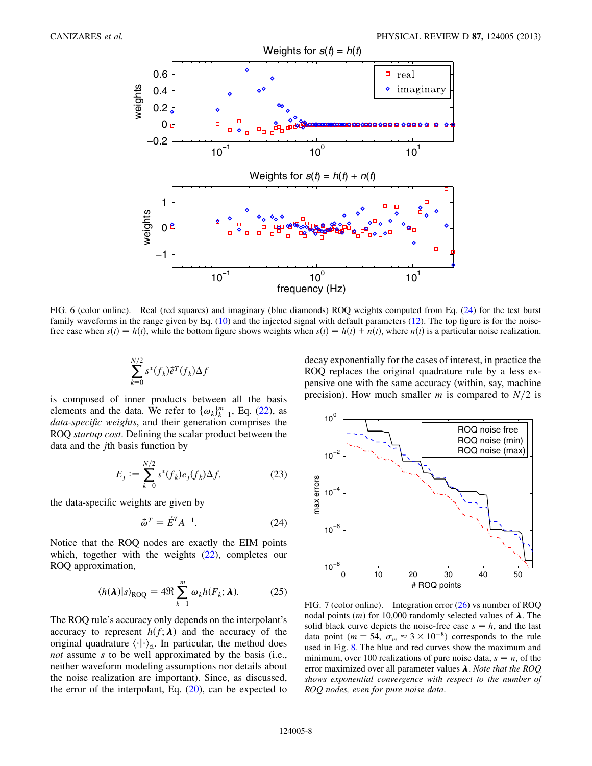<span id="page-7-1"></span>

FIG. 6 (color online). Real (red squares) and imaginary (blue diamonds) ROQ weights computed from Eq. [\(24\)](#page-7-0) for the test burst family waveforms in the range given by Eq. ([10](#page-3-2)) and the injected signal with default parameters ([12](#page-3-6)). The top figure is for the noisefree case when  $s(t) = h(t)$ , while the bottom figure shows weights when  $s(t) = h(t) + n(t)$ , where  $n(t)$  is a particular noise realization.

$$
\sum_{k=0}^{N/2} s^*(f_k) \vec{e}^T(f_k) \Delta f
$$

<span id="page-7-4"></span>is composed of inner products between all the basis elements and the data. We refer to  $\{\omega_k\}_{k=1}^m$ , Eq. ([22](#page-6-3)), as *data-specific weights* and their generation comprises the data-specific weights, and their generation comprises the ROQ startup cost. Defining the scalar product between the data and the jth basis function by

$$
E_j := \sum_{k=0}^{N/2} s^*(f_k) e_j(f_k) \Delta f,
$$
 (23)

<span id="page-7-0"></span>the data-specific weights are given by

$$
\vec{\omega}^T = \vec{E}^T A^{-1}.
$$
 (24)

<span id="page-7-3"></span>Notice that the ROQ nodes are exactly the EIM points which, together with the weights  $(22)$  $(22)$  $(22)$ , completes our ROQ approximation,

$$
\langle h(\boldsymbol{\lambda})|s\rangle_{\text{ROQ}} = 4\Re \sum_{k=1}^{m} \omega_k h(F_k; \boldsymbol{\lambda}).
$$
 (25)

The ROQ rule's accuracy only depends on the interpolant's accuracy to represent  $h(f; \lambda)$  and the accuracy of the original quadrature  $\langle \cdot | \cdot \rangle_d$ . In particular, the method does not assume s to be well approximated by the basis (i.e., neither waveform modeling assumptions nor details about the noise realization are important). Since, as discussed, the error of the interpolant, Eq.  $(20)$ , can be expected to decay exponentially for the cases of interest, in practice the ROQ replaces the original quadrature rule by a less expensive one with the same accuracy (within, say, machine precision). How much smaller m is compared to  $N/2$  is

<span id="page-7-2"></span>

FIG. 7 (color online). Integration error ([26](#page-8-1)) vs number of ROQ nodal points (*m*) for 10,000 randomly selected values of  $\lambda$ . The solid black curve depicts the noise-free case  $s = h$ , and the last data point  $(m = 54, \sigma_m \approx 3 \times 10^{-8})$  corresponds to the rule<br>used in Fig. 8. The blue and red curves show the maximum and used in Fig. [8.](#page-8-2) The blue and red curves show the maximum and minimum, over 100 realizations of pure noise data,  $s = n$ , of the error maximized over all parameter values  $\lambda$ . Note that the ROQ shows exponential convergence with respect to the number of ROQ nodes, even for pure noise data.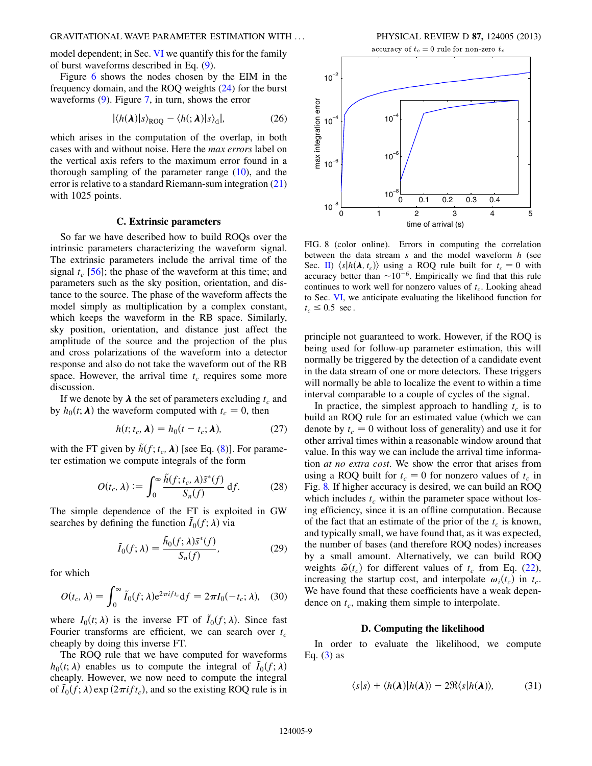model dependent; in Sec. [VI](#page-9-0) we quantify this for the family of burst waveforms described in Eq. [\(9](#page-3-4)).

<span id="page-8-1"></span>Figure [6](#page-7-1) shows the nodes chosen by the EIM in the frequency domain, and the ROQ weights [\(24\)](#page-7-0) for the burst waveforms  $(9)$  $(9)$ . Figure [7,](#page-7-2) in turn, shows the error

$$
|\langle h(\boldsymbol{\lambda})|s\rangle_{\text{ROQ}} - \langle h(;\boldsymbol{\lambda})|s\rangle_{\text{d}}|, \tag{26}
$$

which arises in the computation of the overlap, in both cases with and without noise. Here the max errors label on the vertical axis refers to the maximum error found in a thorough sampling of the parameter range [\(10](#page-3-2)), and the error is relative to a standard Riemann-sum integration [\(21\)](#page-6-2) with 1025 points.

### C. Extrinsic parameters

<span id="page-8-0"></span>So far we have described how to build ROQs over the intrinsic parameters characterizing the waveform signal. The extrinsic parameters include the arrival time of the signal  $t_c$  [[56](#page-15-32)]; the phase of the waveform at this time; and parameters such as the sky position, orientation, and distance to the source. The phase of the waveform affects the model simply as multiplication by a complex constant, which keeps the waveform in the RB space. Similarly, sky position, orientation, and distance just affect the amplitude of the source and the projection of the plus and cross polarizations of the waveform into a detector response and also do not take the waveform out of the RB space. However, the arrival time  $t_c$  requires some more discussion.

If we denote by  $\lambda$  the set of parameters excluding  $t_c$  and by  $h_0(t; \lambda)$  the waveform computed with  $t_c = 0$ , then

$$
h(t; t_c, \lambda) = h_0(t - t_c; \lambda), \qquad (27)
$$

with the FT given by  $\tilde{h}(f; t_c, \lambda)$  [see Eq. ([8](#page-3-7))]. For parameter estimation we compute integrals of the form

$$
O(t_c, \lambda) := \int_0^\infty \frac{\tilde{h}(f; t_c, \lambda) \tilde{s}^*(f)}{S_n(f)} \, df. \tag{28}
$$

The simple dependence of the FT is exploited in GW searches by defining the function  $\tilde{I}_0(f; \lambda)$  via

$$
\tilde{I}_0(f; \lambda) = \frac{\tilde{h}_0(f; \lambda)\tilde{s}^*(f)}{S_n(f)},
$$
\n(29)

for which

$$
O(t_c, \lambda) = \int_0^\infty \tilde{I}_0(f; \lambda) e^{2\pi i f t_c} df = 2\pi I_0(-t_c; \lambda), \quad (30)
$$

where  $I_0(t; \lambda)$  is the inverse FT of  $\tilde{I}_0(f; \lambda)$ . Since fast<br>Fourier transforms are efficient we can search over t Fourier transforms are efficient, we can search over  $t_c$ cheaply by doing this inverse FT.

The ROQ rule that we have computed for waveforms  $h_0(t; \lambda)$  enables us to compute the integral of  $\tilde{I}_0(f; \lambda)$ <br>cheaply However, we now need to compute the integral cheaply. However, we now need to compute the integral of  $\tilde{I}_0(f; \lambda)$  exp  $(2\pi i f t_c)$ , and so the existing ROQ rule is in

accuracy of  $t_c = 0$  rule for non-zero  $t_c$ 

<span id="page-8-2"></span>

FIG. 8 (color online). Errors in computing the correlation between the data stream  $s$  and the model waveform  $h$  (see Sec. [II](#page-1-0))  $\langle s|h(\lambda, t_c)\rangle$  using a ROQ rule built for  $t_c = 0$  with accuracy better than  $\sim 10^{-6}$ . Empirically we find that this rule<br>continues to work well for nonzero values of t. Looking ahead continues to work well for nonzero values of  $t_c$ . Looking ahead to Sec. [VI,](#page-9-0) we anticipate evaluating the likelihood function for  $t_c \leq 0.5$  sec.

principle not guaranteed to work. However, if the ROQ is being used for follow-up parameter estimation, this will normally be triggered by the detection of a candidate event in the data stream of one or more detectors. These triggers will normally be able to localize the event to within a time interval comparable to a couple of cycles of the signal.

In practice, the simplest approach to handling  $t_c$  is to build an ROQ rule for an estimated value (which we can denote by  $t_c = 0$  without loss of generality) and use it for other arrival times within a reasonable window around that value. In this way we can include the arrival time information at no extra cost. We show the error that arises from using a ROQ built for  $t_c = 0$  for nonzero values of  $t_c$  in Fig. [8.](#page-8-2) If higher accuracy is desired, we can build an ROQ which includes  $t_c$  within the parameter space without losing efficiency, since it is an offline computation. Because of the fact that an estimate of the prior of the  $t_c$  is known, and typically small, we have found that, as it was expected, the number of bases (and therefore ROQ nodes) increases by a small amount. Alternatively, we can build ROQ weights  $\vec{\omega}(t_c)$  for different values of  $t_c$  from Eq. ([22\)](#page-6-3), increasing the startup cost, and interpolate  $\omega_i(t_c)$  in  $t_c$ . We have found that these coefficients have a weak dependence on  $t_c$ , making them simple to interpolate.

#### D. Computing the likelihood

In order to evaluate the likelihood, we compute Eq.  $(3)$  $(3)$  as

$$
\langle s|s\rangle + \langle h(\lambda)|h(\lambda)\rangle - 2\Re\langle s|h(\lambda)\rangle, \tag{31}
$$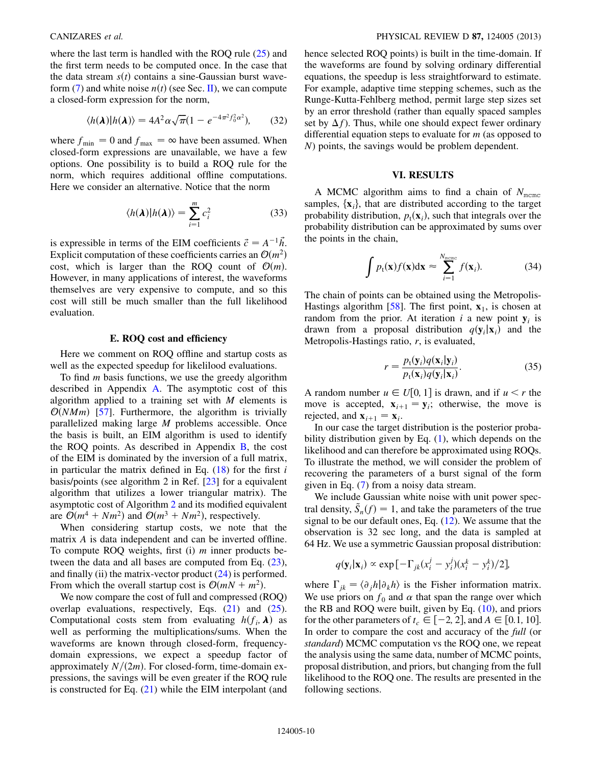where the last term is handled with the ROO rule [\(25\)](#page-7-3) and the first term needs to be computed once. In the case that the data stream  $s(t)$  contains a sine-Gaussian burst wave-form [\(7](#page-3-0)) and white noise  $n(t)$  (see Sec. [II](#page-1-0)), we can compute a closed-form expression for the norm,

$$
\langle h(\boldsymbol{\lambda}) | h(\boldsymbol{\lambda}) \rangle = 4A^2 \alpha \sqrt{\pi} (1 - e^{-4\pi^2 f_0^2 \alpha^2}), \qquad (32)
$$

where  $f_{\text{min}} = 0$  and  $f_{\text{max}} = \infty$  have been assumed. When closed-form expressions are unavailable, we have a few options. One possibility is to build a ROQ rule for the norm, which requires additional offline computations. Here we consider an alternative. Notice that the norm

$$
\langle h(\boldsymbol{\lambda}) | h(\boldsymbol{\lambda}) \rangle = \sum_{i=1}^{m} c_i^2
$$
 (33)

is expressible in terms of the EIM coefficients  $\vec{c} = A^{-1}\vec{h}$ . Explicit computation of these coefficients carries an  $\mathcal{O}(m^2)$ cost, which is larger than the ROQ count of  $\mathcal{O}(m)$ . However, in many applications of interest, the waveforms themselves are very expensive to compute, and so this cost will still be much smaller than the full likelihood evaluation.

## E. ROQ cost and efficiency

<span id="page-9-1"></span>Here we comment on ROQ offline and startup costs as well as the expected speedup for likelilood evaluations.

To find  *basis functions, we use the greedy algorithm* described in Appendix [A.](#page-13-0) The asymptotic cost of this algorithm applied to a training set with  $M$  elements is  $O(NMm)$  [\[57\]](#page-15-33). Furthermore, the algorithm is trivially parallelized making large M problems accessible. Once the basis is built, an EIM algorithm is used to identify the ROQ points. As described in Appendix  $\overline{B}$  $\overline{B}$  $\overline{B}$ , the cost of the EIM is dominated by the inversion of a full matrix, in particular the matrix defined in Eq.  $(18)$  $(18)$  for the first i basis/points (see algorithm 2 in Ref. [\[23\]](#page-15-7) for a equivalent algorithm that utilizes a lower triangular matrix). The asymptotic cost of Algorithm [2](#page-14-3) and its modified equivalent are  $\mathcal{O}(m^4 + Nm^2)$  and  $\mathcal{O}(m^3 + Nm^2)$ , respectively.

When considering startup costs, we note that the matrix A is data independent and can be inverted offline. To compute ROQ weights, first (i)  $m$  inner products between the data and all bases are computed from Eq. ([23\)](#page-7-4), and finally (ii) the matrix-vector product  $(24)$  is performed. From which the overall startup cost is  $O(mN + m^2)$ .

We now compare the cost of full and compressed (ROQ) overlap evaluations, respectively, Eqs. [\(21\)](#page-6-2) and [\(25\)](#page-7-3). Computational costs stem from evaluating  $h(f_i, \lambda)$  as well as performing the multiplications/sums. When the waveforms are known through closed-form, frequencydomain expressions, we expect a speedup factor of approximately  $N/(2m)$ . For closed-form, time-domain expressions, the savings will be even greater if the ROQ rule is constructed for Eq.  $(21)$  $(21)$  $(21)$  while the EIM interpolant (and hence selected ROQ points) is built in the time-domain. If the waveforms are found by solving ordinary differential equations, the speedup is less straightforward to estimate. For example, adaptive time stepping schemes, such as the Runge-Kutta-Fehlberg method, permit large step sizes set by an error threshold (rather than equally spaced samples set by  $\Delta f$ ). Thus, while one should expect fewer ordinary differential equation steps to evaluate for  $m$  (as opposed to N) points, the savings would be problem dependent.

# VI. RESULTS

A MCMC algorithm aims to find a chain of  $N_{\text{merc}}$ samples,  $\{x_i\}$ , that are distributed according to the target probability distribution,  $p_t(\mathbf{x}_i)$ , such that integrals over the probability distribution can be approximated by sums over the points in the chain,

$$
\int p_{\mathbf{t}}(\mathbf{x}) f(\mathbf{x}) d\mathbf{x} \approx \sum_{i=1}^{N_{\text{more}}} f(\mathbf{x}_i).
$$
 (34)

The chain of points can be obtained using the Metropolis-Hastings algorithm [[58\]](#page-15-34). The first point,  $x_1$ , is chosen at random from the prior. At iteration i a new point  $y_i$  is drawn from a proposal distribution  $q(\mathbf{y}_i|\mathbf{x}_i)$  and the Metropolis-Hastings ratio, r, is evaluated,

$$
r = \frac{p_{\rm t}(\mathbf{y}_i)q(\mathbf{x}_i|\mathbf{y}_i)}{p_{\rm t}(\mathbf{x}_i)q(\mathbf{y}_i|\mathbf{x}_i)}.
$$
 (35)

A random number  $u \in U[0, 1]$  is drawn, and if  $u \le r$  the move is accepted,  $\mathbf{x}_{i+1} = \mathbf{y}_i$ ; otherwise, the move is rejected, and  $\mathbf{x}_{i+1} = \mathbf{x}_i$ .

In our case the target distribution is the posterior probability distribution given by Eq.  $(1)$  $(1)$ , which depends on the likelihood and can therefore be approximated using ROQs. To illustrate the method, we will consider the problem of recovering the parameters of a burst signal of the form given in Eq. ([7](#page-3-0)) from a noisy data stream.

We include Gaussian white noise with unit power spectral density,  $\tilde{S}_n(f) = 1$ , and take the parameters of the true<br>signal to be our default ones. Eq. (12). We assume that the signal to be our default ones, Eq. [\(12\)](#page-3-6). We assume that the observation is 32 sec long, and the data is sampled at 64 Hz. We use a symmetric Gaussian proposal distribution:

<span id="page-9-0"></span>
$$
q(\mathbf{y}_i|\mathbf{x}_i) \propto \exp\big[-\Gamma_{jk}(x_i^j - y_i^j)(x_i^k - y_i^k)/2\big],
$$

where  $\Gamma_{jk} = \langle \partial_j h | \partial_k h \rangle$  is the Fisher information matrix. We use priors on  $f_0$  and  $\alpha$  that span the range over which the RB and ROQ were built, given by Eq. [\(10\)](#page-3-2), and priors for the other parameters of  $t_c \in [-2, 2]$ , and  $A \in [0.1, 10]$ . In order to compare the cost and accuracy of the full (or standard) MCMC computation vs the ROQ one, we repeat the analysis using the same data, number of MCMC points, proposal distribution, and priors, but changing from the full likelihood to the ROQ one. The results are presented in the following sections.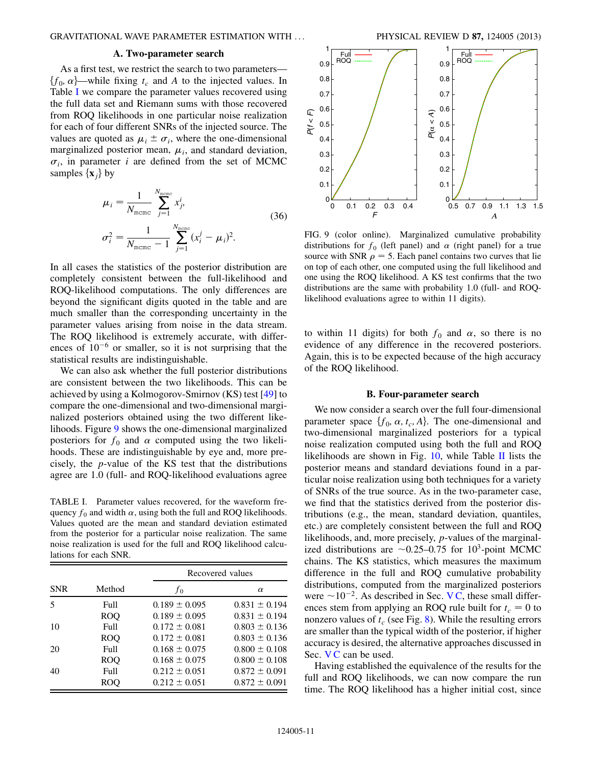## A. Two-parameter search

As a first test, we restrict the search to two parameters—  ${f<sub>0</sub>, \alpha}$ —while fixing  $t<sub>c</sub>$  and A to the injected values. In Table [I](#page-10-0) we compare the parameter values recovered using the full data set and Riemann sums with those recovered from ROQ likelihoods in one particular noise realization for each of four different SNRs of the injected source. The values are quoted as  $\mu_i \pm \sigma_i$ , where the one-dimensional marginalized posterior mean  $\mu_i$ , and standard deviation marginalized posterior mean,  $\mu_i$ , and standard deviation,  $\sigma_i$ , in parameter *i* are defined from the set of MCMC samples  $\{x_i\}$  by

$$
\mu_{i} = \frac{1}{N_{\text{mcmc}}} \sum_{j=1}^{N_{\text{mcmc}}} x_{j}^{i},
$$
\n
$$
\sigma_{i}^{2} = \frac{1}{N_{\text{mcmc}} - 1} \sum_{j=1}^{N_{\text{mcmc}}} (x_{i}^{j} - \mu_{i})^{2}.
$$
\n(36)

In all cases the statistics of the posterior distribution are completely consistent between the full-likelihood and ROQ-likelihood computations. The only differences are beyond the significant digits quoted in the table and are much smaller than the corresponding uncertainty in the parameter values arising from noise in the data stream. The ROQ likelihood is extremely accurate, with differences of  $10^{-6}$  or smaller, so it is not surprising that the statistical results are indistinguishable.

We can also ask whether the full posterior distributions are consistent between the two likelihoods. This can be achieved by using a Kolmogorov-Smirnov (KS) test [[49](#page-15-27)] to compare the one-dimensional and two-dimensional marginalized posteriors obtained using the two different likelihoods. Figure [9](#page-10-1) shows the one-dimensional marginalized posteriors for  $f_0$  and  $\alpha$  computed using the two likelihoods. These are indistinguishable by eye and, more precisely, the p-value of the KS test that the distributions agree are 1.0 (full- and ROQ-likelihood evaluations agree

<span id="page-10-0"></span>TABLE I. Parameter values recovered, for the waveform frequency  $f_0$  and width  $\alpha$ , using both the full and ROQ likelihoods. Values quoted are the mean and standard deviation estimated from the posterior for a particular noise realization. The same noise realization is used for the full and ROQ likelihood calculations for each SNR.

|            |            |                   | Recovered values  |
|------------|------------|-------------------|-------------------|
| <b>SNR</b> | Method     | $f_{0}$           | $\alpha$          |
| 5          | Full       | $0.189 \pm 0.095$ | $0.831 \pm 0.194$ |
|            | <b>ROO</b> | $0.189 \pm 0.095$ | $0.831 \pm 0.194$ |
| 10         | Full       | $0.172 \pm 0.081$ | $0.803 \pm 0.136$ |
|            | <b>ROQ</b> | $0.172 \pm 0.081$ | $0.803 \pm 0.136$ |
| 20         | Full.      | $0.168 \pm 0.075$ | $0.800 \pm 0.108$ |
|            | <b>ROO</b> | $0.168 \pm 0.075$ | $0.800 \pm 0.108$ |
| 40         | Full       | $0.212 \pm 0.051$ | $0.872 \pm 0.091$ |
|            | ROO        | $0.212 \pm 0.051$ | $0.872 \pm 0.091$ |

<span id="page-10-1"></span>

FIG. 9 (color online). Marginalized cumulative probability distributions for  $f_0$  (left panel) and  $\alpha$  (right panel) for a true source with SNR  $\rho = 5$ . Each panel contains two curves that lie on top of each other, one computed using the full likelihood and one using the ROQ likelihood. A KS test confirms that the two distributions are the same with probability 1.0 (full- and ROQlikelihood evaluations agree to within 11 digits).

to within 11 digits) for both  $f_0$  and  $\alpha$ , so there is no evidence of any difference in the recovered posteriors. Again, this is to be expected because of the high accuracy of the ROQ likelihood.

## B. Four-parameter search

<span id="page-10-2"></span>We now consider a search over the full four-dimensional parameter space  $\{f_0, \alpha, t_c, A\}$ . The one-dimensional and two-dimensional marginalized posteriors for a typical noise realization computed using both the full and ROQ likelihoods are shown in Fig.  $10$ , while Table [II](#page-11-1) lists the posterior means and standard deviations found in a particular noise realization using both techniques for a variety of SNRs of the true source. As in the two-parameter case, we find that the statistics derived from the posterior distributions (e.g., the mean, standard deviation, quantiles, etc.) are completely consistent between the full and ROQ likelihoods, and, more precisely, p-values of the marginalized distributions are  $\sim 0.25 - 0.75$  for 10<sup>3</sup>-point MCMC<br>chains. The KS statistics, which measures the maximum chains. The KS statistics, which measures the maximum difference in the full and ROQ cumulative probability distributions, computed from the marginalized posteriors were  $\sim 10^{-2}$ . As described in Sec. [V C](#page-8-0), these small differ-<br>ences stem from applying an ROO rule built for  $t = 0$  to ences stem from applying an ROQ rule built for  $t_c = 0$  to nonzero values of  $t_c$  (see Fig. [8\)](#page-8-2). While the resulting errors are smaller than the typical width of the posterior, if higher accuracy is desired, the alternative approaches discussed in Sec. VC can be used.

Having established the equivalence of the results for the full and ROQ likelihoods, we can now compare the run time. The ROQ likelihood has a higher initial cost, since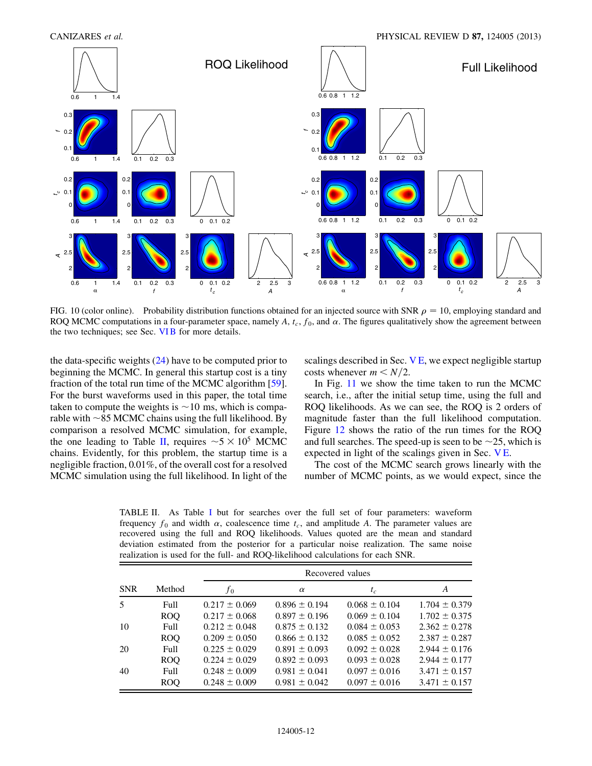<span id="page-11-0"></span>

FIG. 10 (color online). Probability distribution functions obtained for an injected source with SNR  $\rho = 10$ , employing standard and ROQ MCMC computations in a four-parameter space, namely A,  $t_c$ ,  $f_0$ , and  $\alpha$ . The figures qualitatively show the agreement between the two techniques; see Sec. [VI B](#page-10-2) for more details.

the data-specific weights [\(24\)](#page-7-0) have to be computed prior to beginning the MCMC. In general this startup cost is a tiny fraction of the total run time of the MCMC algorithm [[59\]](#page-15-35). For the burst waveforms used in this paper, the total time taken to compute the weights is  $\sim$ 10 ms, which is compa-<br>rable with  $\sim$ 85 MCMC chains using the full likelihood. By rable with ~85 MCMC chains using the full likelihood. By<br>comparison a resolved MCMC simulation, for example comparison a resolved MCMC simulation, for example, the one leading to Table [II](#page-11-1), requires  $\sim 5 \times 10^5$  MCMC<br>chains Evidently for this problem, the startup time is a chains. Evidently, for this problem, the startup time is a negligible fraction, 0.01%, of the overall cost for a resolved MCMC simulation using the full likelihood. In light of the scalings described in Sec. [V E,](#page-9-1) we expect negligible startup costs whenever  $m < N/2$ .

In Fig. [11](#page-12-0) we show the time taken to run the MCMC search, i.e., after the initial setup time, using the full and ROQ likelihoods. As we can see, the ROQ is 2 orders of magnitude faster than the full likelihood computation. Figure [12](#page-12-1) shows the ratio of the run times for the ROQ and full searches. The speed-up is seen to be  $\sim$ 25, which is expected in light of the scalings given in Sec. VE expected in light of the scalings given in Sec. [V E.](#page-9-1)

The cost of the MCMC search grows linearly with the number of MCMC points, as we would expect, since the

<span id="page-11-1"></span>TABLE II. As Table [I](#page-10-0) but for searches over the full set of four parameters: waveform frequency  $f_0$  and width  $\alpha$ , coalescence time  $t_c$ , and amplitude A. The parameter values are recovered using the full and ROQ likelihoods. Values quoted are the mean and standard deviation estimated from the posterior for a particular noise realization. The same noise realization is used for the full- and ROQ-likelihood calculations for each SNR.

|            |             | Recovered values  |                   |                   |                   |
|------------|-------------|-------------------|-------------------|-------------------|-------------------|
| <b>SNR</b> | Method      | $f_0$             | $\alpha$          | $t_c$             | A                 |
| 5          | Full        | $0.217 \pm 0.069$ | $0.896 \pm 0.194$ | $0.068 \pm 0.104$ | $1.704 \pm 0.379$ |
|            | <b>ROO</b>  | $0.217 \pm 0.068$ | $0.897 \pm 0.196$ | $0.069 \pm 0.104$ | $1.702 \pm 0.375$ |
| 10         | Full        | $0.212 \pm 0.048$ | $0.875 \pm 0.132$ | $0.084 \pm 0.053$ | $2.362 \pm 0.278$ |
|            | ROO         | $0.209 \pm 0.050$ | $0.866 \pm 0.132$ | $0.085 \pm 0.052$ | $2.387 \pm 0.287$ |
| 20         | <b>Full</b> | $0.225 \pm 0.029$ | $0.891 \pm 0.093$ | $0.092 \pm 0.028$ | $2.944 \pm 0.176$ |
|            | <b>ROQ</b>  | $0.224 \pm 0.029$ | $0.892 \pm 0.093$ | $0.093 \pm 0.028$ | $2.944 \pm 0.177$ |
| 40         | <b>Full</b> | $0.248 \pm 0.009$ | $0.981 \pm 0.041$ | $0.097 \pm 0.016$ | $3.471 \pm 0.157$ |
|            | <b>ROQ</b>  | $0.248 \pm 0.009$ | $0.981 \pm 0.042$ | $0.097 \pm 0.016$ | $3.471 \pm 0.157$ |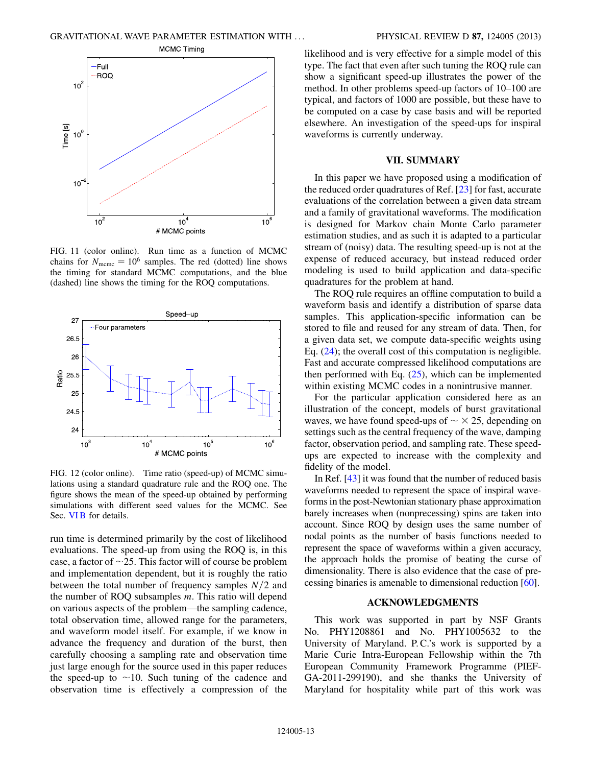<span id="page-12-0"></span>

FIG. 11 (color online). Run time as a function of MCMC chains for  $N_{\text{mer}} = 10^6$  samples. The red (dotted) line shows the timing for standard MCMC computations, and the blue (dashed) line shows the timing for the ROQ computations.

<span id="page-12-1"></span>

FIG. 12 (color online). Time ratio (speed-up) of MCMC simulations using a standard quadrature rule and the ROQ one. The figure shows the mean of the speed-up obtained by performing simulations with different seed values for the MCMC. See Sec. VIB for details.

run time is determined primarily by the cost of likelihood evaluations. The speed-up from using the ROQ is, in this case, a factor of  $\sim$ 25. This factor will of course be problem<br>and implementation dependent, but it is roughly the ratio and implementation dependent, but it is roughly the ratio between the total number of frequency samples  $N/2$  and the number of ROQ subsamples m. This ratio will depend on various aspects of the problem—the sampling cadence, total observation time, allowed range for the parameters, and waveform model itself. For example, if we know in advance the frequency and duration of the burst, then carefully choosing a sampling rate and observation time just large enough for the source used in this paper reduces the speed-up to  $\sim$ 10. Such tuning of the cadence and observation time is effectively a compression of the observation time is effectively a compression of the likelihood and is very effective for a simple model of this type. The fact that even after such tuning the ROQ rule can show a significant speed-up illustrates the power of the method. In other problems speed-up factors of 10–100 are typical, and factors of 1000 are possible, but these have to be computed on a case by case basis and will be reported elsewhere. An investigation of the speed-ups for inspiral waveforms is currently underway.

## VII. SUMMARY

In this paper we have proposed using a modification of the reduced order quadratures of Ref. [[23](#page-15-7)] for fast, accurate evaluations of the correlation between a given data stream and a family of gravitational waveforms. The modification is designed for Markov chain Monte Carlo parameter estimation studies, and as such it is adapted to a particular stream of (noisy) data. The resulting speed-up is not at the expense of reduced accuracy, but instead reduced order modeling is used to build application and data-specific quadratures for the problem at hand.

The ROQ rule requires an offline computation to build a waveform basis and identify a distribution of sparse data samples. This application-specific information can be stored to file and reused for any stream of data. Then, for a given data set, we compute data-specific weights using Eq. [\(24\)](#page-7-0); the overall cost of this computation is negligible. Fast and accurate compressed likelihood computations are then performed with Eq. ([25](#page-7-3)), which can be implemented within existing MCMC codes in a nonintrusive manner.

For the particular application considered here as an illustration of the concept, models of burst gravitational waves, we have found speed-ups of  $\sim \times 25$ , depending on settings such as the central frequency of the wave damning settings such as the central frequency of the wave, damping factor, observation period, and sampling rate. These speedups are expected to increase with the complexity and fidelity of the model.

In Ref. [\[43\]](#page-15-23) it was found that the number of reduced basis waveforms needed to represent the space of inspiral waveforms in the post-Newtonian stationary phase approximation barely increases when (nonprecessing) spins are taken into account. Since ROQ by design uses the same number of nodal points as the number of basis functions needed to represent the space of waveforms within a given accuracy, the approach holds the promise of beating the curse of dimensionality. There is also evidence that the case of precessing binaries is amenable to dimensional reduction [\[60](#page-15-36)].

### ACKNOWLEDGMENTS

This work was supported in part by NSF Grants No. PHY1208861 and No. PHY1005632 to the University of Maryland. P. C.'s work is supported by a Marie Curie Intra-European Fellowship within the 7th European Community Framework Programme (PIEF-GA-2011-299190), and she thanks the University of Maryland for hospitality while part of this work was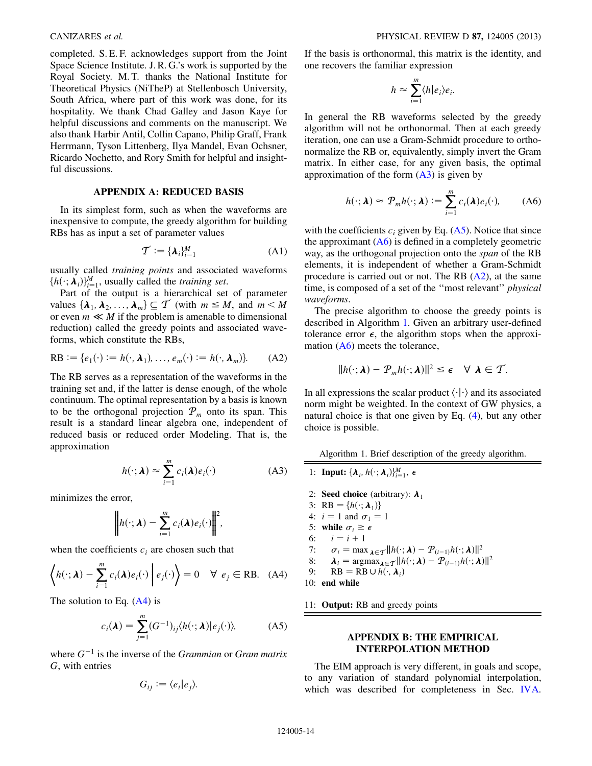completed. S. E. F. acknowledges support from the Joint Space Science Institute. J. R. G.'s work is supported by the Royal Society. M. T. thanks the National Institute for Theoretical Physics (NiTheP) at Stellenbosch University, South Africa, where part of this work was done, for its hospitality. We thank Chad Galley and Jason Kaye for helpful discussions and comments on the manuscript. We also thank Harbir Antil, Collin Capano, Philip Graff, Frank Herrmann, Tyson Littenberg, Ilya Mandel, Evan Ochsner, Ricardo Nochetto, and Rory Smith for helpful and insightful discussions.

# APPENDIX A: REDUCED BASIS

In its simplest form, such as when the waveforms are inexpensive to compute, the greedy algorithm for building RBs has as input a set of parameter values

$$
\mathcal{T} := \{ \boldsymbol{\lambda}_i \}_{i=1}^M \tag{A1}
$$

usually called training points and associated waveforms  $\{h(\cdot;\boldsymbol{\lambda}_i)\}_{i=1}^M$ , usually called the *training set*.<br>Part of the output is a hierarchical set

Part of the output is a hierarchical set of parameter values  $\{\lambda_1, \lambda_2, ..., \lambda_m\} \subseteq \mathcal{T}$  (with  $m \leq M$ , and  $m \leq M$ or even  $m \ll M$  if the problem is amenable to dimensional reduction) called the greedy points and associated waveforms, which constitute the RBs,

<span id="page-13-6"></span>RB := {
$$
e_1(\cdot) := h(\cdot, \lambda_1), \ldots, e_m(\cdot) := h(\cdot, \lambda_m)
$$
}. (A2)

The RB serves as a representation of the waveforms in the training set and, if the latter is dense enough, of the whole continuum. The optimal representation by a basis is known to be the orthogonal projection  $P_m$  onto its span. This result is a standard linear algebra one, independent of reduced basis or reduced order Modeling. That is, the approximation

$$
h(\cdot; \boldsymbol{\lambda}) \approx \sum_{i=1}^{m} c_i(\boldsymbol{\lambda}) e_i(\cdot)
$$
 (A3)

<span id="page-13-4"></span><span id="page-13-0"></span>minimizes the error,

$$
\left\|h(\cdot;\boldsymbol{\lambda})-\sum_{i=1}^m c_i(\boldsymbol{\lambda})e_i(\cdot)\right\|^2,
$$

<span id="page-13-3"></span>when the coefficients  $c_i$  are chosen such that

$$
\left\langle h(\cdot; \boldsymbol{\lambda}) - \sum_{i=1}^{m} c_i(\boldsymbol{\lambda}) e_i(\cdot) \middle| e_j(\cdot) \right\rangle = 0 \quad \forall \ e_j \in \text{RB.} \quad \text{(A4)}
$$

<span id="page-13-2"></span>The solution to Eq. [\(A4\)](#page-13-3) is

$$
c_i(\boldsymbol{\lambda}) = \sum_{j=1}^m (G^{-1})_{ij} \langle h(\cdot; \boldsymbol{\lambda}) | e_j(\cdot) \rangle, \tag{A5}
$$

where  $G^{-1}$  is the inverse of the *Grammian* or *Gram matrix* G, with entries

$$
G_{ij} := \langle e_i | e_j \rangle.
$$

If the basis is orthonormal, this matrix is the identity, and one recovers the familiar expression

$$
h \approx \sum_{i=1}^{m} \langle h | e_i \rangle e_i.
$$

In general the RB waveforms selected by the greedy algorithm will not be orthonormal. Then at each greedy iteration, one can use a Gram-Schmidt procedure to orthonormalize the RB or, equivalently, simply invert the Gram matrix. In either case, for any given basis, the optimal approximation of the form  $(A3)$  $(A3)$  $(A3)$  is given by

<span id="page-13-5"></span>
$$
h(\cdot; \boldsymbol{\lambda}) \approx \mathcal{P}_m h(\cdot; \boldsymbol{\lambda}) := \sum_{i=1}^m c_i(\boldsymbol{\lambda}) e_i(\cdot), \qquad (A6)
$$

with the coefficients  $c_i$  given by Eq. [\(A5](#page-13-2)). Notice that since the approximant  $(A6)$  $(A6)$  is defined in a completely geometric way, as the orthogonal projection onto the *span* of the RB elements, it is independent of whether a Gram-Schmidt procedure is carried out or not. The RB ([A2\)](#page-13-6), at the same time, is composed of a set of the ''most relevant'' physical waveforms.

The precise algorithm to choose the greedy points is described in Algorithm [1.](#page-13-7) Given an arbitrary user-defined tolerance error  $\epsilon$ , the algorithm stops when the approximation ([A6](#page-13-5)) meets the tolerance,

$$
||h(\cdot;\boldsymbol{\lambda})-\mathcal{P}_m h(\cdot;\boldsymbol{\lambda})||^2 \leq \epsilon \quad \forall \ \boldsymbol{\lambda} \in \mathcal{T}.
$$

In all expressions the scalar product  $\langle \cdot | \cdot \rangle$  and its associated norm might be weighted. In the context of GW physics, a natural choice is that one given by Eq. [\(4\)](#page-1-1), but any other choice is possible.

<span id="page-13-7"></span>Algorithm 1. Brief description of the greedy algorithm.

1: **Input:**  $\{\boldsymbol{\lambda}_i, h(\cdot; \boldsymbol{\lambda}_i)\}_{i=1}^M$ ,  $\epsilon$ 2: Seed choice (arbitrary):  $\lambda_1$ 3: RB =  $\{h(\cdot; \boldsymbol{\lambda}_1)\}$ 4:  $i = 1$  and  $\sigma_1 = 1$ <br>5: while  $\sigma_1 \ge \epsilon$ 5: while  $\sigma_i \ge \epsilon$ <br>6:  $i \equiv i+1$ 6:  $i = i + 1$ <br>7:  $\sigma_i = \text{max}$ 7:  $\sigma_i = \max_{\mathbf{\lambda} \in \mathcal{T}} ||h(\cdot; \mathbf{\lambda}) - \mathcal{P}_{(i-1)} h(\cdot; \mathbf{\lambda})||^2$ <br>8.  $\mathbf{\lambda} = \operatorname{argmax}_{\mathbf{\lambda}} ||h(\cdot; \mathbf{\lambda}) - \mathcal{P}_{(i-1)} h(\cdot; \mathbf{\lambda})||^2$ 8:  $\lambda_i = \operatorname*{argmax}_{\lambda \in \mathcal{T}} ||h(\cdot; \lambda) - \mathcal{P}_{(i-1)}h(\cdot; \lambda)||^2$ <br>9: RB = RB  $\cup h(\cdot; \lambda_i)$  $RB = RB \cup h(\cdot, \lambda_i)$ 10: end while

11: Output: RB and greedy points

# APPENDIX B: THE EMPIRICAL INTERPOLATION METHOD

<span id="page-13-1"></span>The EIM approach is very different, in goals and scope, to any variation of standard polynomial interpolation, which was described for completeness in Sec. [IVA](#page-4-8).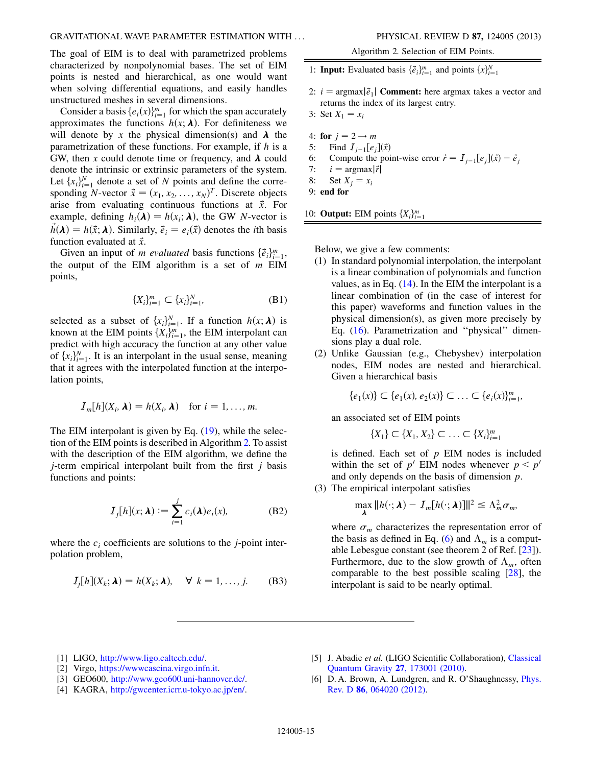The goal of EIM is to deal with parametrized problems characterized by nonpolynomial bases. The set of EIM points is nested and hierarchical, as one would want when solving differential equations, and easily handles unstructured meshes in several dimensions.

Consider a basis  $\{e_i(x)\}_{i=1}^m$  for which the span accurately<br>proximates the functions  $h(x; \lambda)$ . For definiteness we approximates the functions  $h(x; \lambda)$ . For definiteness we will denote by x the physical dimension(s) and  $\lambda$  the parametrization of these functions. For example, if h is a GW, then x could denote time or frequency, and  $\lambda$  could denote the intrinsic or extrinsic parameters of the system. Let  $\{x_i\}_{i=1}^N$  denote a set of N points and define the corre-<br>sponding  $N$ -vector  $\vec{x} = (x_i, x_j, ..., x_N)^T$  Discrete objects sponding N-vector  $\vec{x} = (x_1, x_2, ..., x_N)^T$ . Discrete objects arise from evaluating continuous functions at  $\vec{x}$ . For example, defining  $h_i(\lambda) = h(x_i; \lambda)$ , the GW N-vector is  $\vec{h}(\lambda) = h(\vec{x};\lambda)$ . Similarly,  $\vec{e}_i = e_i(\vec{x})$  denotes the *i*th basis function evaluated at  $\vec{x}$ .

Given an input of *m evaluated* basis functions  $\{\hat{e}_i\}_{i=1}^m$ , output of the FIM algorithm is a set of *m* FIM the output of the EIM algorithm is a set of  $m$  EIM points,

$$
\{X_i\}_{i=1}^m \subset \{x_i\}_{i=1}^N, \tag{B1}
$$

selected as a subset of  $\{x_i\}_{i=1}^N$ . If a function  $h(x; \lambda)$  is known at the FIM points  $\{X_i\}_{i=1}^N$  the FIM interpolant can known at the EIM points  $\{X_i\}_{i=1}^m$ , the EIM interpolant can<br>predict with high accuracy the function at any other value predict with high accuracy the function at any other value of  ${x_i}_{i=1}^N$ . It is an interpolant in the usual sense, meaning<br>that it agrees with the interpolated function at the interpothat it agrees with the interpolated function at the interpolation points,

$$
I_m[h](X_i,\boldsymbol{\lambda})=h(X_i,\boldsymbol{\lambda})\quad\text{for }i=1,\ldots,m.
$$

The EIM interpolant is given by Eq.  $(19)$ , while the selection of the EIM points is described in Algorithm [2.](#page-14-3) To assist with the description of the EIM algorithm, we define the *j*-term empirical interpolant built from the first  $j$  basis functions and points:

$$
I_j[h](x; \lambda) := \sum_{i=1}^j c_i(\lambda) e_i(x), \tag{B2}
$$

where the  $c_i$  coefficients are solutions to the *j*-point interpolation problem,

$$
I_j[h](X_k; \lambda) = h(X_k; \lambda), \quad \forall \ k = 1, ..., j. \tag{B3}
$$

Algorithm 2. Selection of EIM Points.

<span id="page-14-3"></span>1: **Input:** Evaluated basis  $\{\vec{e}_i\}_{i=1}^m$  and points  $\{x\}_{i=1}^N$ 

- 2:  $i = \text{argmax} |\vec{e}_1|$  Comment: here argmax takes a vector and returns the index of its largest entry.
- 3: Set  $X_1 = x_i$
- 4: for  $j = 2 \rightarrow m$ <br>5: Find  $I_{i-1}[e_i]$
- 5: Find  $I_{j-1}[e_j](\vec{x})$ <br>6: Compute the poi
- 6: Compute the point-wise error  $\vec{r} = I_{j-1}[e_j](\vec{x}) \vec{e}_j$ <br>7:  $i = \text{argmax} |\vec{r}|$
- 7:  $i = \operatorname{argmax} |\vec{r}|$ <br>8: Set  $X_i = x_i$
- Set  $X_i = x_i$
- 9: end for

10: **Output:** EIM points  $\{X_i\}_{i=1}^m$ 

Below, we give a few comments:

- (1) In standard polynomial interpolation, the interpolant is a linear combination of polynomials and function values, as in Eq.  $(14)$ . In the EIM the interpolant is a linear combination of (in the case of interest for this paper) waveforms and function values in the physical dimension(s), as given more precisely by Eq. [\(16\)](#page-4-6). Parametrization and ''physical'' dimensions play a dual role.
- (2) Unlike Gaussian (e.g., Chebyshev) interpolation nodes, EIM nodes are nested and hierarchical. Given a hierarchical basis

 ${e_1(x)} \subset {e_1(x), e_2(x)} \subset \ldots \subset {e_i(x)}_{i=1}^m,$ 

an associated set of EIM points

 $\{X_1\} \subset \{X_1, X_2\} \subset \ldots \subset \{X_i\}_{i=1}^m$ 

is defined. Each set of  $p$  EIM nodes is included within the set of  $p'$  EIM nodes whenever  $p < p'$ and only depends on the basis of dimension p.

(3) The empirical interpolant satisfies

$$
\max_{\lambda} ||h(\cdot; \lambda) - I_m[h(\cdot; \lambda)]||^2 \leq \Lambda_m^2 \sigma_m,
$$

where  $\sigma_m$  characterizes the representation error of the basis as defined in Eq. [\(6](#page-2-2)) and  $\Lambda_m$  is a computable Lebesgue constant (see theorem 2 of Ref. [\[23](#page-15-7)]). Furthermore, due to the slow growth of  $\Lambda_m$ , often comparable to the best possible scaling [[28](#page-15-12)], the interpolant is said to be nearly optimal.

- <span id="page-14-0"></span>[1] LIGO, [http://www.ligo.caltech.edu/.](http://www.ligo.caltech.edu/)
- [2] Virgo, <https://wwwcascina.virgo.infn.it>.
- <span id="page-14-1"></span>[3] GEO600, <http://www.geo600.uni-hannover.de/>.
- [4] KAGRA, <http://gwcenter.icrr.u-tokyo.ac.jp/en/>.
- <span id="page-14-2"></span>[5] J. Abadie et al. (LIGO Scientific Collaboration), [Classical](http://dx.doi.org/10.1088/0264-9381/27/17/173001) [Quantum Gravity](http://dx.doi.org/10.1088/0264-9381/27/17/173001) 27, 173001 (2010).
- [6] D. A. Brown, A. Lundgren, and R. O'Shaughnessy, *[Phys.](http://dx.doi.org/10.1103/PhysRevD.86.064020)* Rev. D 86[, 064020 \(2012\)](http://dx.doi.org/10.1103/PhysRevD.86.064020).